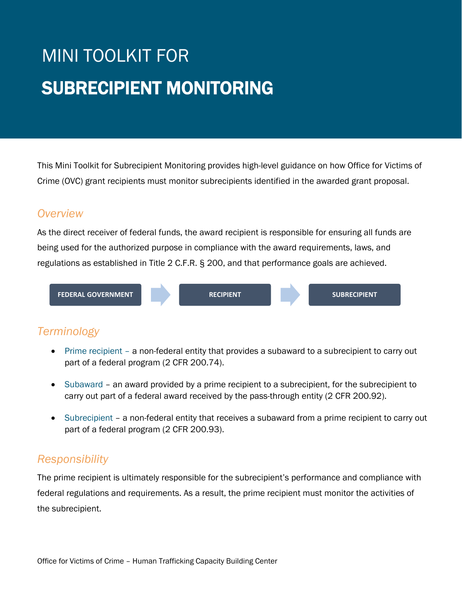# MINI TOOLKIT FOR SUBRECIPIENT MONITORING

This Mini Toolkit for Subrecipient Monitoring provides high-level guidance on how Office for Victims of Crime (OVC) grant recipients must monitor subrecipients identified in the awarded grant proposal.

#### *Overview*

As the direct receiver of federal funds, the award recipient is responsible for ensuring all funds are being used for the authorized purpose in compliance with the award requirements, laws, and regulations as established in Title 2 C.F.R. § 200, and that performance goals are achieved.



# *Terminology*

- Prime recipient a non-federal entity that provides a subaward to a subrecipient to carry out part of a federal program (2 CFR 200.74).
- Subaward an award provided by a prime recipient to a subrecipient, for the subrecipient to carry out part of a federal award received by the pass-through entity (2 CFR 200.92).
- Subrecipient a non-federal entity that receives a subaward from a prime recipient to carry out part of a federal program (2 CFR 200.93).

# *Responsibility*

The prime recipient is ultimately responsible for the subrecipient's performance and compliance with federal regulations and requirements. As a result, the prime recipient must monitor the activities of the subrecipient.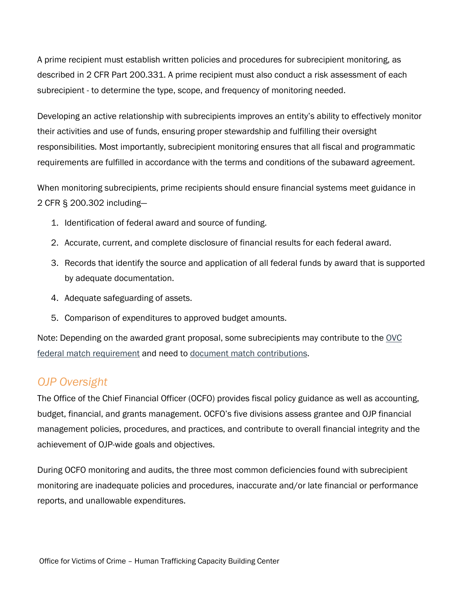A prime recipient must establish written policies and procedures for subrecipient monitoring, as described in 2 CFR Part 200.331. A prime recipient must also conduct a risk assessment of each subrecipient - to determine the type, scope, and frequency of monitoring needed.

Developing an active relationship with subrecipients improves an entity's ability to effectively monitor their activities and use of funds, ensuring proper stewardship and fulfilling their oversight responsibilities. Most importantly, subrecipient monitoring ensures that all fiscal and programmatic requirements are fulfilled in accordance with the terms and conditions of the subaward agreement.

When monitoring subrecipients, prime recipients should ensure financial systems meet guidance in 2 CFR § 200.302 including—

- 1. Identification of federal award and source of funding.
- 2. Accurate, current, and complete disclosure of financial results for each federal award.
- 3. Records that identify the source and application of all federal funds by award that is supported by adequate documentation.
- 4. Adequate safeguarding of assets.
- 5. Comparison of expenditures to approved budget amounts.

Note: Depending on the awarded grant proposal, some subrecipients may contribute to the [OVC](https://htcbc.ovc.ojp.gov/library/publications/match-requirement-tip-sheet)  [federal match requirement](https://htcbc.ovc.ojp.gov/library/publications/match-requirement-tip-sheet) and need to [document match contributions.](https://htcbc.ovc.ojp.gov/library/publications/documenting-kind-match-tip-sheet)

### *OJP Oversight*

The Office of the Chief Financial Officer (OCFO) provides fiscal policy guidance as well as accounting, budget, financial, and grants management. OCFO's five divisions assess grantee and OJP financial management policies, procedures, and practices, and contribute to overall financial integrity and the achievement of OJP-wide goals and objectives.

During OCFO monitoring and audits, the three most common deficiencies found with subrecipient monitoring are inadequate policies and procedures, inaccurate and/or late financial or performance reports, and unallowable expenditures.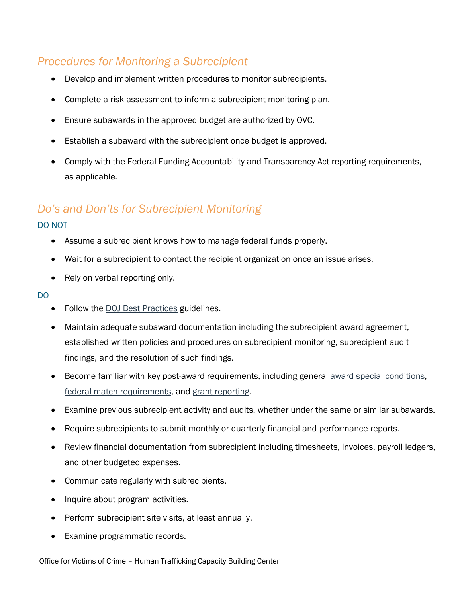## *Procedures for Monitoring a Subrecipient*

- Develop and implement written procedures to monitor subrecipients.
- Complete a risk assessment to inform a subrecipient monitoring plan.
- Ensure subawards in the approved budget are authorized by OVC.
- Establish a subaward with the subrecipient once budget is approved.
- Comply with the Federal Funding Accountability and Transparency Act reporting requirements, as applicable.

## *Do's and Don'ts for Subrecipient Monitoring*

#### DO NOT

- Assume a subrecipient knows how to manage federal funds properly.
- Wait for a subrecipient to contact the recipient organization once an issue arises.
- Rely on verbal reporting only.

#### DO

- Follow the [DOJ Best Practices](http://www.ojp.gov/funding/financialguidedoj/iii-postaward-requirements#9ca2v8) guidelines.
- Maintain adequate subaward documentation including the subrecipient award agreement, established written policies and procedures on subrecipient monitoring, subrecipient audit findings, and the resolution of such findings.
- Become familiar with key post-award requirements, including general *award special conditions*, [federal match requirements,](https://htcbc.ovc.ojp.gov/library/publications/match-requirement-tip-sheet) and [grant reporting.](https://www.ojp.gov/funding/implement/overview)
- Examine previous subrecipient activity and audits, whether under the same or similar subawards.
- Require subrecipients to submit monthly or quarterly financial and performance reports.
- Review financial documentation from subrecipient including timesheets, invoices, payroll ledgers, and other budgeted expenses.
- Communicate regularly with subrecipients.
- Inquire about program activities.
- Perform subrecipient site visits, at least annually.
- Examine programmatic records.

Office for Victims of Crime – Human Trafficking Capacity Building Center